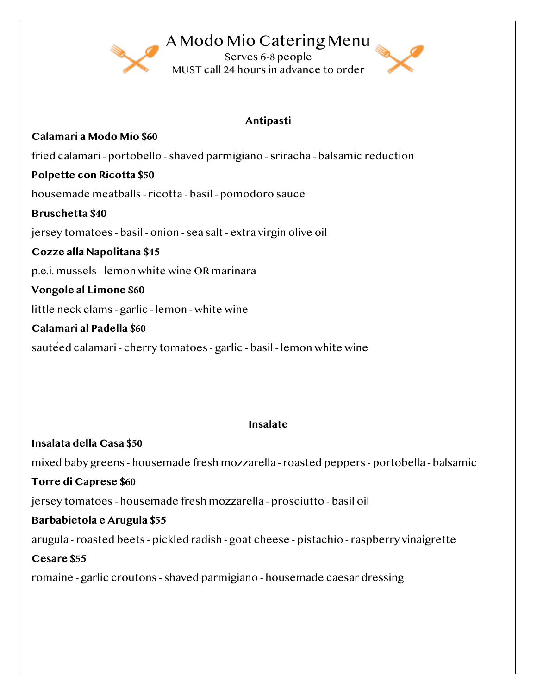## A Modo Mio Catering Menu

Serves 6-8 people MUST call 24 hours in advance to order



### **Antipasti**

**Calamari a Modo Mio \$60**  fried calamari - portobello - shaved parmigiano - sriracha - balsamic reduction **Polpette con Ricotta \$50**  housemade meatballs - ricotta - basil - pomodoro sauce **Bruschetta \$40**  jersey tomatoes - basil - onion - sea salt - extra virgin olive oil **Cozze alla Napolitana \$45**  p.e.i. mussels - lemon white wine OR marinara **Vongole al Limone \$60** little neck clams - garlic - lemon - white wine **Calamari al Padella \$60** sautéed calamari - cherry tomatoes - garlic - basil - lemon white wine

### **Insalate**

**Insalata della Casa \$50** mixed baby greens - housemade fresh mozzarella - roasted peppers - portobella - balsamic **Torre di Caprese \$60** jersey tomatoes - housemade fresh mozzarella - prosciutto - basil oil **Barbabietola e Arugula \$55**  arugula - roasted beets - pickled radish - goat cheese - pistachio - raspberry vinaigrette **Cesare \$55**  romaine - garlic croutons - shaved parmigiano - housemade caesar dressing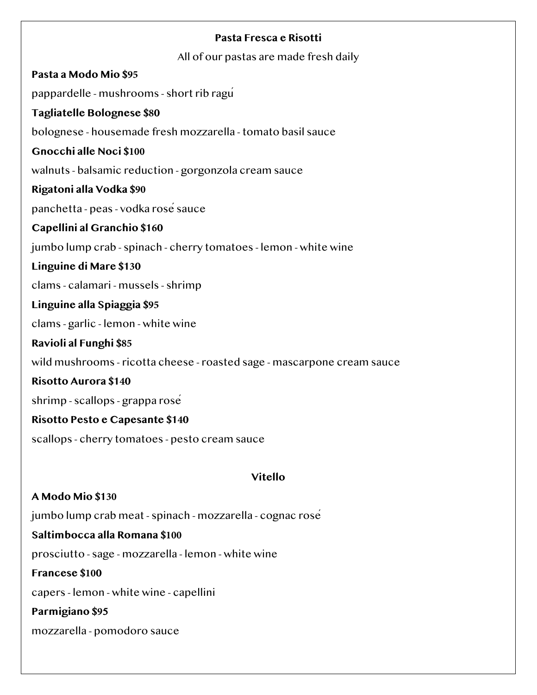### **Pasta Fresca e Risotti**

All of our pastas are made fresh daily

**Pasta a Modo Mio \$95**  pappardelle - mushrooms - short rib ragú **Tagliatelle Bolognese \$80**  bolognese - housemade fresh mozzarella - tomato basil sauce **Gnocchi alle Noci \$100**  walnuts - balsamic reduction - gorgonzola cream sauce **Rigatoni alla Vodka \$90** panchetta - peas - vodka rosé sauce **Capellini al Granchio \$160**  jumbo lump crab - spinach - cherry tomatoes - lemon - white wine **Linguine di Mare \$130**  clams - calamari - mussels - shrimp **Linguine alla Spiaggia \$95**  clams - garlic - lemon - white wine **Ravioli al Funghi \$85** wild mushrooms - ricotta cheese - roasted sage - mascarpone cream sauce **Risotto Aurora \$140**  shrimp - scallops - grappa rosé **Risotto Pesto e Capesante \$140**  scallops - cherry tomatoes - pesto cream sauce **Vitello A Modo Mio \$130**  jumbo lump crab meat - spinach - mozzarella - cognac rosé **Saltimbocca alla Romana \$100**  prosciutto - sage - mozzarella - lemon - white wine **Francese \$100**  capers - lemon - white wine - capellini **Parmigiano \$95**  mozzarella - pomodoro sauce